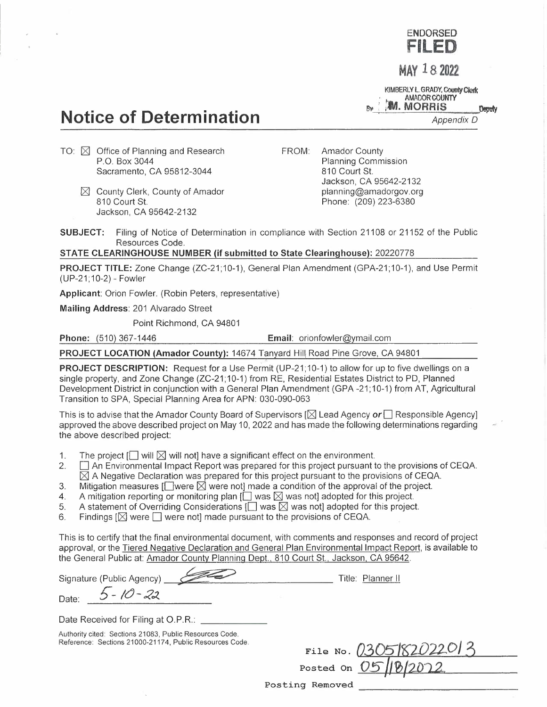**ENDORSED FILED** 

**MAY 182022** 

**KIMBERLY L. GRADY, County Clerk**<br> **AMADOR COUNTY**<br> **By AM. MORRIS Deputy M. AMADOR COUNTY** 

*Appendix D* 

# **Notice of Determination**

- TO:  $\boxtimes$  Office of Planning and Research P.O. Box 3044 Sacramento, CA 95812-3044
	- $[$  County Clerk, County of Amador 810 Court St. Jackson, CA 95642-2132

FROM: Amador County Planning Commission 810 Court St. Jackson, CA 95642-2132 planning@amadorgov.org Phone: (209) 223-6380

**SUBJECT:** Filing of Notice of Determination in compliance with Section 21108 or 21152 of the Public Resources Code.

## **STATE CLEARINGHOUSE NUMBER (if submitted to State Clearinghouse):** 20220778

**PROJECT TITLE:** Zone Change (ZC-21;10-1), General Plan Amendment (GPA-21;10-1), and Use Permit (UP-21;10-2)- Fowler

**Applicant:** Orion Fowler. (Robin Peters, representative)

**Mailing Address:** 201 Alvarado Street

Point Richmond, CA 94801

**Phone:** (510) 367-1446 **Email:** orionfowler@ymail.com

**PROJECT LOCATION (Amador County):** 14674 Tanyard Hill Road Pine Grove, CA 94801

**PROJECT DESCRIPTION:** Request for a Use Permit (UP-21;10-1) to allow for up to five dwellings on a single property, and Zone Change (ZC-21; 10-1) from RE, Residential Estates District to PD, Planned Development District in conjunction with a General Plan Amendment (GPA-21;10-1) from AT, Agricultural Transition to SPA, Special Planning Area for APN: 030-090-063

This is to advise that the Amador County Board of Supervisors [[gl Lead Agency *or*□ Responsible Agency] approved the above described project on May 10, 2022 and has made the following determinations regarding the above described project:

- 1. The project  $[\Box]$  will  $\boxtimes$  will not] have a significant effect on the environment.<br>2.  $\Box$  An Environmental Impact Report was prepared for this project pursuant t
- 2. D An Environmental Impact Report was prepared for this project pursuant to the provisions of CEQA.  $\boxtimes$  A Negative Declaration was prepared for this project pursuant to the provisions of CEQA.
- 3. Mitigation measures [ $\square$ were  $\square$  were not] made a condition of the approval of the project.<br>4. A mitigation reporting or monitoring plan [ $\square$  was  $\square$  was not] adopted for this project.
- A mitigation reporting or monitoring plan  $\Box$  was  $\boxtimes$  was not] adopted for this project.
- 5. A statement of Overriding Considerations  $[\Box]$  was  $\boxtimes$  was not] adopted for this project.<br>6. Findings  $[\boxtimes]$  were  $\Box$  were not] made pursuant to the provisions of CEQA.
- Findings  $[\boxtimes]$  were  $[\Box]$  were not] made pursuant to the provisions of CEQA.

This is to certify that the final environmental document, with comments and responses and record of project approval, or the Tiered Negative Declaration and General Plan Environmental Impact Report, is available to the General Public at: Amador County Planning Dept., 810 Court St., Jackson, CA 95642.

Signature (Public Agency)-....,.... ~""'--~'------------ Title: Planner II Date: 5 - 10 - 22 Date Received for Filing at O.P.R.:

Authority cited: Sections 21083, Public Resources Code. Reference: Sections 21000-21174, Public Resources Code.

| File No. 0305182022013<br>Posted on 0510202 |  |
|---------------------------------------------|--|
| <u>Desember</u>                             |  |

Posting Removed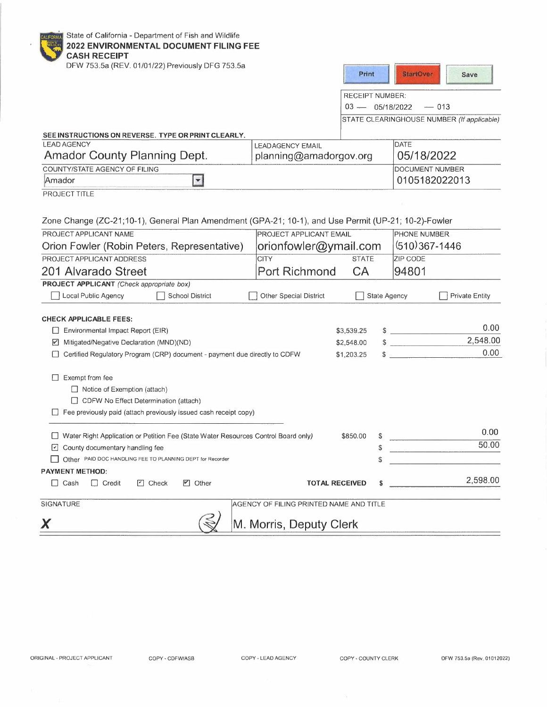|  |  |  |  |  | State of California - Department of Fish and Wildlife |  |  |  |  |  |
|--|--|--|--|--|-------------------------------------------------------|--|--|--|--|--|
|--|--|--|--|--|-------------------------------------------------------|--|--|--|--|--|

#### **2022 ENVIRONMENTAL DOCUMENT FILING FEE**

| 2022 ENVIRONMENTAL DOCUMENT FILING FEE<br><b>CASH RECEIPT</b>                                        |                                         |                        |                                            |
|------------------------------------------------------------------------------------------------------|-----------------------------------------|------------------------|--------------------------------------------|
| DFW 753.5a (REV. 01/01/22) Previously DFG 753.5a                                                     |                                         | Print                  | <b>StartOver</b><br>Save                   |
|                                                                                                      |                                         | <b>RECEIPT NUMBER:</b> |                                            |
|                                                                                                      |                                         | $03 - 05/18/2022$      | $-013$                                     |
|                                                                                                      |                                         |                        | STATE CLEARINGHOUSE NUMBER (If applicable) |
| SEE INSTRUCTIONS ON REVERSE. TYPE OR PRINT CLEARLY.                                                  |                                         |                        |                                            |
| <b>LEAD AGENCY</b>                                                                                   | <b>LEADAGENCY EMAIL</b>                 |                        | DATE                                       |
| <b>Amador County Planning Dept.</b>                                                                  | planning@amadorgov.org                  |                        | 05/18/2022                                 |
| COUNTY/STATE AGENCY OF FILING                                                                        |                                         |                        | <b>DOCUMENT NUMBER</b>                     |
| $\vert$<br>Amador                                                                                    |                                         |                        | 0105182022013                              |
| PROJECT TITLE                                                                                        |                                         |                        |                                            |
| Zone Change (ZC-21;10-1), General Plan Amendment (GPA-21; 10-1), and Use Permit (UP-21; 10-2)-Fowler |                                         |                        |                                            |
| PROJECT APPLICANT NAME                                                                               | <b>PROJECT APPLICANT EMAIL</b>          |                        | <b>PHONE NUMBER</b>                        |
| Orion Fowler (Robin Peters, Representative)                                                          | orionfowler@ymail.com                   |                        | $(510)367 - 1446$                          |
| PROJECT APPLICANT ADDRESS                                                                            | <b>CITY</b>                             | <b>STATE</b>           | <b>ZIP CODE</b>                            |
| 201 Alvarado Street                                                                                  | <b>Port Richmond</b>                    | <b>CA</b>              | 94801                                      |
| <b>PROJECT APPLICANT</b> (Check appropriate box)                                                     |                                         |                        |                                            |
| Local Public Agency<br>School District                                                               | Other Special District                  | <b>State Agency</b>    | <b>Private Entity</b>                      |
| <b>CHECK APPLICABLE FEES:</b>                                                                        |                                         |                        |                                            |
| Environmental Impact Report (EIR)                                                                    |                                         | \$3,539.25             | 0.00                                       |
| Mitigated/Negative Declaration (MND)(ND)<br>⊻                                                        |                                         | \$2,548.00             | 2,548.00<br>$\mathbf{r} = \mathbf{r}$      |
| Certified Regulatory Program (CRP) document - payment due directly to CDFW                           |                                         | \$<br>\$1,203.25       | 0.00                                       |
| $\Box$ Exempt from fee                                                                               |                                         |                        |                                            |
| $\Box$ Notice of Exemption (attach)                                                                  |                                         |                        |                                            |
| CDFW No Effect Determination (attach)                                                                |                                         |                        |                                            |
| Fee previously paid (attach previously issued cash receipt copy)                                     |                                         |                        |                                            |
| □ Water Right Application or Petition Fee (State Water Resources Control Board only)                 |                                         | \$850.00<br>\$         | 0.00                                       |
| □ County documentary handling fee                                                                    |                                         | \$                     | 50.00                                      |
| Other PAID DOC HANDLING FEE TO PLANNING DEPT for Recorder                                            |                                         | \$                     |                                            |
| <b>PAYMENT METHOD:</b>                                                                               |                                         |                        |                                            |
| $\Box$ Cash<br>$\Box$ Credit<br>$\Box$ Check<br><b>☑</b> Other                                       | <b>TOTAL RECEIVED</b>                   | \$                     | 2,598.00                                   |
| SIGNATURE                                                                                            | AGENCY OF FILING PRINTED NAME AND TITLE |                        |                                            |
|                                                                                                      |                                         |                        |                                            |
| X                                                                                                    | M. Morris, Deputy Clerk                 |                        |                                            |